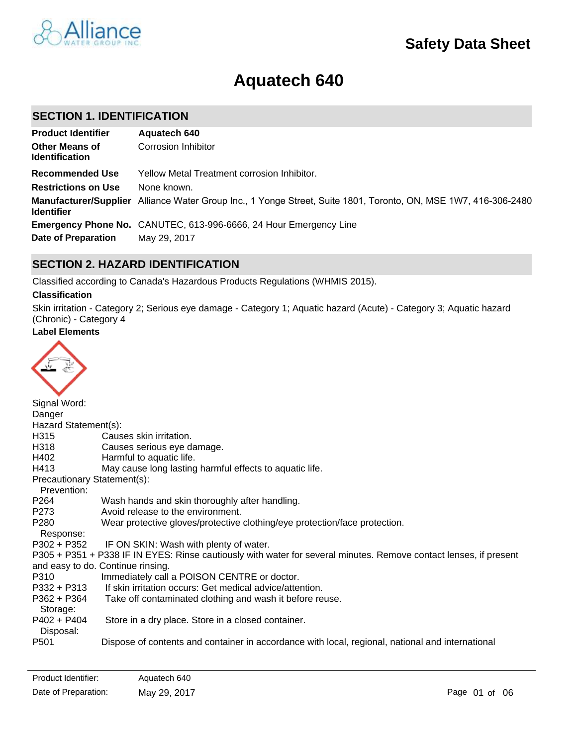

# **Aquatech 640**

### **SECTION 1. IDENTIFICATION**

| <b>Product Identifier</b>                      | Aquatech 640                                                                                                    |
|------------------------------------------------|-----------------------------------------------------------------------------------------------------------------|
| <b>Other Means of</b><br><b>Identification</b> | Corrosion Inhibitor                                                                                             |
| <b>Recommended Use</b>                         | Yellow Metal Treatment corrosion Inhibitor.                                                                     |
| <b>Restrictions on Use</b>                     | None known.                                                                                                     |
| <b>Identifier</b>                              | Manufacturer/Supplier Alliance Water Group Inc., 1 Yonge Street, Suite 1801, Toronto, ON, MSE 1W7, 416-306-2480 |
|                                                | Emergency Phone No. CANUTEC, 613-996-6666, 24 Hour Emergency Line                                               |
| <b>Date of Preparation</b>                     | May 29, 2017                                                                                                    |

### **SECTION 2. HAZARD IDENTIFICATION**

Classified according to Canada's Hazardous Products Regulations (WHMIS 2015).

#### **Classification**

Skin irritation - Category 2; Serious eye damage - Category 1; Aquatic hazard (Acute) - Category 3; Aquatic hazard (Chronic) - Category 4

### **Label Elements**



| Signal Word:                |                                                                                                                   |
|-----------------------------|-------------------------------------------------------------------------------------------------------------------|
| Danger                      |                                                                                                                   |
| Hazard Statement(s):        |                                                                                                                   |
| H315                        | Causes skin irritation.                                                                                           |
| H318                        | Causes serious eye damage.                                                                                        |
| H402                        | Harmful to aquatic life.                                                                                          |
| H413                        | May cause long lasting harmful effects to aquatic life.                                                           |
| Precautionary Statement(s): |                                                                                                                   |
| Prevention:                 |                                                                                                                   |
| P264                        | Wash hands and skin thoroughly after handling.                                                                    |
| P273                        | Avoid release to the environment.                                                                                 |
| P280                        | Wear protective gloves/protective clothing/eye protection/face protection.                                        |
| Response:                   |                                                                                                                   |
| $P302 + P352$               | IF ON SKIN: Wash with plenty of water.                                                                            |
|                             | P305 + P351 + P338 IF IN EYES: Rinse cautiously with water for several minutes. Remove contact lenses, if present |
|                             | and easy to do. Continue rinsing.                                                                                 |
| P310                        | Immediately call a POISON CENTRE or doctor.                                                                       |
| P332 + P313                 | If skin irritation occurs: Get medical advice/attention.                                                          |
| P362 + P364                 | Take off contaminated clothing and wash it before reuse.                                                          |
| Storage:                    |                                                                                                                   |
| $P402 + P404$               | Store in a dry place. Store in a closed container.                                                                |
| Disposal:                   |                                                                                                                   |
| P <sub>501</sub>            | Dispose of contents and container in accordance with local, regional, national and international                  |
|                             |                                                                                                                   |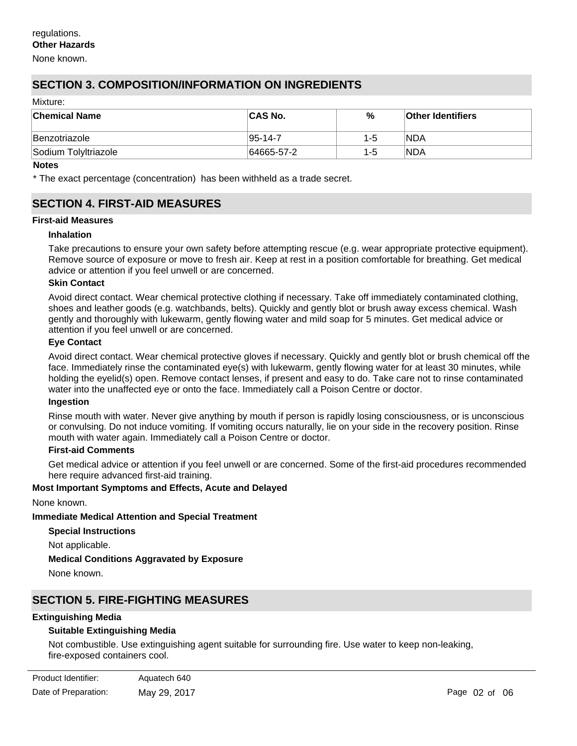None known.

### **SECTION 3. COMPOSITION/INFORMATION ON INGREDIENTS**

| Mixture: |                          |  |  |  |
|----------|--------------------------|--|--|--|
| %        | <b>Other Identifiers</b> |  |  |  |
| $1 - 5$  | INDA                     |  |  |  |
| $1 - 5$  | <b>NDA</b>               |  |  |  |
|          |                          |  |  |  |

#### **Notes**

\* The exact percentage (concentration) has been withheld as a trade secret.

#### **SECTION 4. FIRST-AID MEASURES**

#### **First-aid Measures**

#### **Inhalation**

Take precautions to ensure your own safety before attempting rescue (e.g. wear appropriate protective equipment). Remove source of exposure or move to fresh air. Keep at rest in a position comfortable for breathing. Get medical advice or attention if you feel unwell or are concerned.

#### **Skin Contact**

Avoid direct contact. Wear chemical protective clothing if necessary. Take off immediately contaminated clothing, shoes and leather goods (e.g. watchbands, belts). Quickly and gently blot or brush away excess chemical. Wash gently and thoroughly with lukewarm, gently flowing water and mild soap for 5 minutes. Get medical advice or attention if you feel unwell or are concerned.

#### **Eye Contact**

Avoid direct contact. Wear chemical protective gloves if necessary. Quickly and gently blot or brush chemical off the face. Immediately rinse the contaminated eye(s) with lukewarm, gently flowing water for at least 30 minutes, while holding the eyelid(s) open. Remove contact lenses, if present and easy to do. Take care not to rinse contaminated water into the unaffected eye or onto the face. Immediately call a Poison Centre or doctor.

#### **Ingestion**

Rinse mouth with water. Never give anything by mouth if person is rapidly losing consciousness, or is unconscious or convulsing. Do not induce vomiting. If vomiting occurs naturally, lie on your side in the recovery position. Rinse mouth with water again. Immediately call a Poison Centre or doctor.

#### **First-aid Comments**

Get medical advice or attention if you feel unwell or are concerned. Some of the first-aid procedures recommended here require advanced first-aid training.

#### **Most Important Symptoms and Effects, Acute and Delayed**

None known.

**Immediate Medical Attention and Special Treatment**

**Special Instructions** Not applicable. **Medical Conditions Aggravated by Exposure** None known.

#### **SECTION 5. FIRE-FIGHTING MEASURES**

#### **Extinguishing Media**

#### **Suitable Extinguishing Media**

Not combustible. Use extinguishing agent suitable for surrounding fire. Use water to keep non-leaking, fire-exposed containers cool.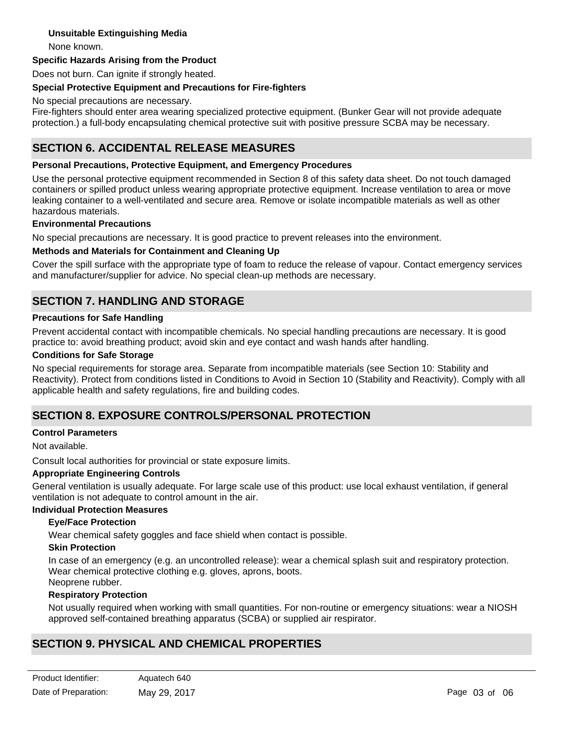#### **Unsuitable Extinguishing Media**

None known.

#### **Specific Hazards Arising from the Product**

Does not burn. Can ignite if strongly heated.

#### **Special Protective Equipment and Precautions for Fire-fighters**

No special precautions are necessary.

Fire-fighters should enter area wearing specialized protective equipment. (Bunker Gear will not provide adequate protection.) a full-body encapsulating chemical protective suit with positive pressure SCBA may be necessary.

### **SECTION 6. ACCIDENTAL RELEASE MEASURES**

#### **Personal Precautions, Protective Equipment, and Emergency Procedures**

Use the personal protective equipment recommended in Section 8 of this safety data sheet. Do not touch damaged containers or spilled product unless wearing appropriate protective equipment. Increase ventilation to area or move leaking container to a well-ventilated and secure area. Remove or isolate incompatible materials as well as other hazardous materials.

#### **Environmental Precautions**

No special precautions are necessary. It is good practice to prevent releases into the environment.

#### **Methods and Materials for Containment and Cleaning Up**

Cover the spill surface with the appropriate type of foam to reduce the release of vapour. Contact emergency services and manufacturer/supplier for advice. No special clean-up methods are necessary.

### **SECTION 7. HANDLING AND STORAGE**

#### **Precautions for Safe Handling**

Prevent accidental contact with incompatible chemicals. No special handling precautions are necessary. It is good practice to: avoid breathing product; avoid skin and eye contact and wash hands after handling.

#### **Conditions for Safe Storage**

No special requirements for storage area. Separate from incompatible materials (see Section 10: Stability and Reactivity). Protect from conditions listed in Conditions to Avoid in Section 10 (Stability and Reactivity). Comply with all applicable health and safety regulations, fire and building codes.

### **SECTION 8. EXPOSURE CONTROLS/PERSONAL PROTECTION**

#### **Control Parameters**

Not available.

Consult local authorities for provincial or state exposure limits.

#### **Appropriate Engineering Controls**

General ventilation is usually adequate. For large scale use of this product: use local exhaust ventilation, if general ventilation is not adequate to control amount in the air.

### **Individual Protection Measures**

#### **Eye/Face Protection**

Wear chemical safety goggles and face shield when contact is possible.

#### **Skin Protection**

In case of an emergency (e.g. an uncontrolled release): wear a chemical splash suit and respiratory protection. Wear chemical protective clothing e.g. gloves, aprons, boots. Neoprene rubber.

#### **Respiratory Protection**

Not usually required when working with small quantities. For non-routine or emergency situations: wear a NIOSH approved self-contained breathing apparatus (SCBA) or supplied air respirator.

## **SECTION 9. PHYSICAL AND CHEMICAL PROPERTIES**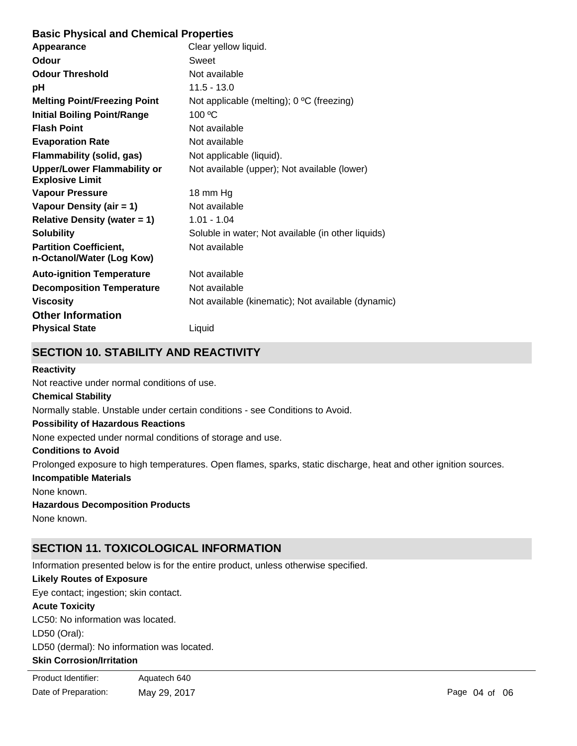### **Basic Physical and Chemical Properties**

| Appearance                                                   | Clear yellow liquid.                               |
|--------------------------------------------------------------|----------------------------------------------------|
| Odour                                                        | Sweet                                              |
| <b>Odour Threshold</b>                                       | Not available                                      |
| рH                                                           | $11.5 - 13.0$                                      |
| <b>Melting Point/Freezing Point</b>                          | Not applicable (melting); 0 °C (freezing)          |
| <b>Initial Boiling Point/Range</b>                           | 100 °C                                             |
| <b>Flash Point</b>                                           | Not available                                      |
| <b>Evaporation Rate</b>                                      | Not available                                      |
| <b>Flammability (solid, gas)</b>                             | Not applicable (liquid).                           |
| <b>Upper/Lower Flammability or</b><br><b>Explosive Limit</b> | Not available (upper); Not available (lower)       |
| <b>Vapour Pressure</b>                                       | 18 mm Hg                                           |
| Vapour Density (air = 1)                                     | Not available                                      |
| Relative Density (water $= 1$ )                              | $1.01 - 1.04$                                      |
| <b>Solubility</b>                                            | Soluble in water; Not available (in other liquids) |
| <b>Partition Coefficient,</b><br>n-Octanol/Water (Log Kow)   | Not available                                      |
| <b>Auto-ignition Temperature</b>                             | Not available                                      |
| <b>Decomposition Temperature</b>                             | Not available                                      |
| <b>Viscosity</b>                                             | Not available (kinematic); Not available (dynamic) |
| <b>Other Information</b>                                     |                                                    |
| <b>Physical State</b>                                        | Liquid                                             |

# **SECTION 10. STABILITY AND REACTIVITY**

#### **Reactivity**

Not reactive under normal conditions of use.

#### **Chemical Stability**

Normally stable. Unstable under certain conditions - see Conditions to Avoid.

#### **Possibility of Hazardous Reactions**

None expected under normal conditions of storage and use.

#### **Conditions to Avoid**

Prolonged exposure to high temperatures. Open flames, sparks, static discharge, heat and other ignition sources.

#### **Incompatible Materials**

None known.

### **Hazardous Decomposition Products**

None known.

# **SECTION 11. TOXICOLOGICAL INFORMATION**

Information presented below is for the entire product, unless otherwise specified.

### **Likely Routes of Exposure**

Eye contact; ingestion; skin contact.

### **Acute Toxicity**

LC50: No information was located.

LD50 (Oral):

LD50 (dermal): No information was located.

### **Skin Corrosion/Irritation**

| Product Identifier:  | Aquatech 640 |
|----------------------|--------------|
| Date of Preparation: | May 29, 2017 |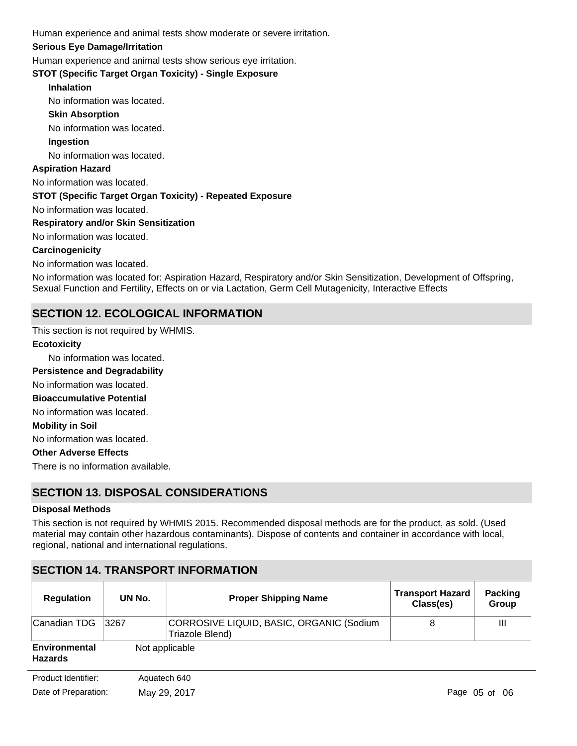Human experience and animal tests show moderate or severe irritation.

#### **Serious Eye Damage/Irritation**

Human experience and animal tests show serious eye irritation.

**STOT (Specific Target Organ Toxicity) - Single Exposure**

#### **Inhalation**

No information was located.

#### **Skin Absorption**

No information was located.

#### **Ingestion**

No information was located.

#### **Aspiration Hazard**

No information was located.

#### **STOT (Specific Target Organ Toxicity) - Repeated Exposure**

No information was located.

#### **Respiratory and/or Skin Sensitization**

No information was located.

#### **Carcinogenicity**

No information was located.

No information was located for: Aspiration Hazard, Respiratory and/or Skin Sensitization, Development of Offspring, Sexual Function and Fertility, Effects on or via Lactation, Germ Cell Mutagenicity, Interactive Effects

### **SECTION 12. ECOLOGICAL INFORMATION**

This section is not required by WHMIS.

### No information was located. No information was located. **Ecotoxicity Persistence and Degradability**

**Bioaccumulative Potential**

No information was located.

#### **Mobility in Soil**

No information was located.

#### **Other Adverse Effects**

There is no information available.

### **SECTION 13. DISPOSAL CONSIDERATIONS**

#### **Disposal Methods**

This section is not required by WHMIS 2015. Recommended disposal methods are for the product, as sold. (Used material may contain other hazardous contaminants). Dispose of contents and container in accordance with local, regional, national and international regulations.

### **SECTION 14. TRANSPORT INFORMATION**

| <b>Regulation</b>               | UN No.         | <b>Proper Shipping Name</b>                                 | <b>Transport Hazard</b><br>Class(es) | <b>Packing</b><br>Group |
|---------------------------------|----------------|-------------------------------------------------------------|--------------------------------------|-------------------------|
| Canadian TDG                    | 3267           | CORROSIVE LIQUID, BASIC, ORGANIC (Sodium<br>Triazole Blend) | 8                                    | Ш                       |
| Environmental<br><b>Hazards</b> | Not applicable |                                                             |                                      |                         |
| Product Identifier:             | Aquatech 640   |                                                             |                                      |                         |